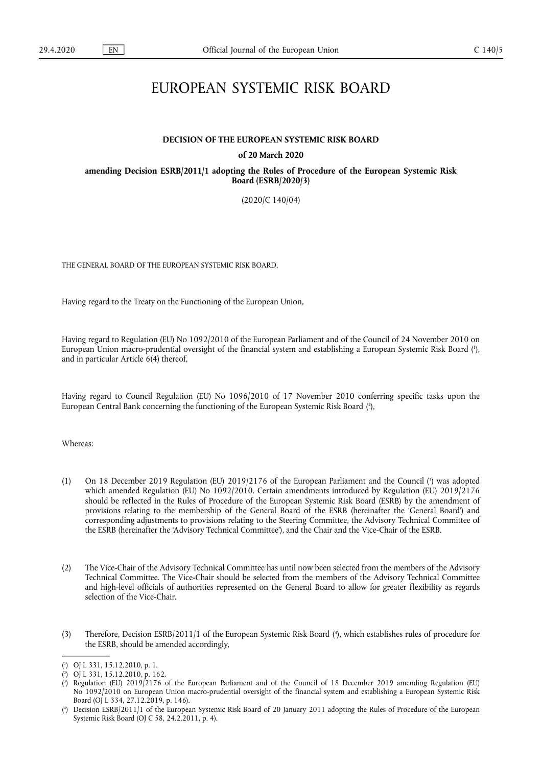# EUROPEAN SYSTEMIC RISK BOARD

### **DECISION OF THE EUROPEAN SYSTEMIC RISK BOARD**

### **of 20 March 2020**

**amending Decision ESRB/2011/1 adopting the Rules of Procedure of the European Systemic Risk Board (ESRB/2020/3)** 

(2020/C 140/04)

THE GENERAL BOARD OF THE EUROPEAN SYSTEMIC RISK BOARD,

Having regard to the Treaty on the Functioning of the European Union,

<span id="page-0-4"></span>Having regard to Regulation (EU) No 1092/2010 of the European Parliament and of the Council of 24 November 2010 on European Union macro-prudential oversight of the financial system and establishing a European Systemic Risk Board [\(](#page-0-0) 1 ), and in particular Article 6(4) thereof,

<span id="page-0-5"></span>Having regard to Council Regulation (EU) No 1096/2010 of 17 November 2010 conferring specific tasks upon the European Central Bank concerning the functioning of the European Systemic Risk Board ( 2 [\),](#page-0-1)

Whereas:

- <span id="page-0-6"></span>(1) On 18 December 2019 Regulation (EU) 2019/2176 of the European Parliament and the Council ( 3 [\)](#page-0-2) was adopted which amended Regulation (EU) No 1092/2010. Certain amendments introduced by Regulation (EU) 2019/2176 should be reflected in the Rules of Procedure of the European Systemic Risk Board (ESRB) by the amendment of provisions relating to the membership of the General Board of the ESRB (hereinafter the 'General Board') and corresponding adjustments to provisions relating to the Steering Committee, the Advisory Technical Committee of the ESRB (hereinafter the 'Advisory Technical Committee'), and the Chair and the Vice-Chair of the ESRB.
- (2) The Vice-Chair of the Advisory Technical Committee has until now been selected from the members of the Advisory Technical Committee. The Vice-Chair should be selected from the members of the Advisory Technical Committee and high-level officials of authorities represented on the General Board to allow for greater flexibility as regards selection of the Vice-Chair.
- <span id="page-0-7"></span>(3) Therefore, Decision ESRB/2011/1 of the European Systemic Risk Board ( 4 [\),](#page-0-3) which establishes rules of procedure for the ESRB, should be amended accordingly,

<span id="page-0-0"></span>[<sup>\(</sup>](#page-0-4) 1 ) OJ L 331, 15.12.2010, p. 1.

<span id="page-0-1"></span>[<sup>\(</sup>](#page-0-5) 2 ) OJ L 331, 15.12.2010, p. 162.

<span id="page-0-2"></span>[<sup>\(</sup>](#page-0-6) 3 ) Regulation (EU) 2019/2176 of the European Parliament and of the Council of 18 December 2019 amending Regulation (EU) No 1092/2010 on European Union macro-prudential oversight of the financial system and establishing a European Systemic Risk Board (OJ L 334, 27.12.2019, p. 146).

<span id="page-0-3"></span>[<sup>\(</sup>](#page-0-7) 4 ) Decision ESRB/2011/1 of the European Systemic Risk Board of 20 January 2011 adopting the Rules of Procedure of the European Systemic Risk Board (OJ C 58, 24.2.2011, p. 4).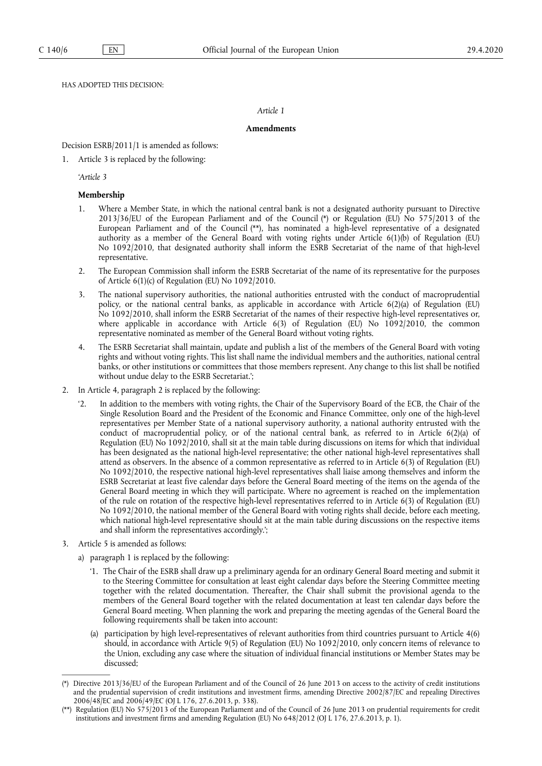HAS ADOPTED THIS DECISION:

## *Article 1*

# **Amendments**

Decision ESRB/2011/1 is amended as follows:

1. Article 3 is replaced by the following:

*'Article 3* 

## **Membership**

- <span id="page-1-3"></span><span id="page-1-2"></span>1. Where a Member State, in which the national central bank is not a designated authority pursuant to Directive 2013/36/EU of the European Parliament and of the Council [\(\\*\)](#page-1-0) or Regulation (EU) No 575/2013 of the European Parliament and of the Council [\(\\*\\*\)](#page-1-1), has nominated a high-level representative of a designated authority as a member of the General Board with voting rights under Article 6(1)(b) of Regulation (EU) No 1092/2010, that designated authority shall inform the ESRB Secretariat of the name of that high-level representative.
- 2. The European Commission shall inform the ESRB Secretariat of the name of its representative for the purposes of Article 6(1)(c) of Regulation (EU) No 1092/2010.
- 3. The national supervisory authorities, the national authorities entrusted with the conduct of macroprudential policy, or the national central banks, as applicable in accordance with Article 6(2)(a) of Regulation (EU) No 1092/2010, shall inform the ESRB Secretariat of the names of their respective high-level representatives or, where applicable in accordance with Article  $6(3)$  of Regulation (EU) No  $1092/2010$ , the common representative nominated as member of the General Board without voting rights.
- 4. The ESRB Secretariat shall maintain, update and publish a list of the members of the General Board with voting rights and without voting rights. This list shall name the individual members and the authorities, national central banks, or other institutions or committees that those members represent. Any change to this list shall be notified without undue delay to the ESRB Secretariat.';
- 2. In Article 4, paragraph 2 is replaced by the following:
	- '2. In addition to the members with voting rights, the Chair of the Supervisory Board of the ECB, the Chair of the Single Resolution Board and the President of the Economic and Finance Committee, only one of the high-level representatives per Member State of a national supervisory authority, a national authority entrusted with the conduct of macroprudential policy, or of the national central bank, as referred to in Article  $6(2)(a)$  of Regulation (EU) No 1092/2010, shall sit at the main table during discussions on items for which that individual has been designated as the national high-level representative; the other national high-level representatives shall attend as observers. In the absence of a common representative as referred to in Article 6(3) of Regulation (EU) No 1092/2010, the respective national high-level representatives shall liaise among themselves and inform the ESRB Secretariat at least five calendar days before the General Board meeting of the items on the agenda of the General Board meeting in which they will participate. Where no agreement is reached on the implementation of the rule on rotation of the respective high-level representatives referred to in Article 6(3) of Regulation (EU) No 1092/2010, the national member of the General Board with voting rights shall decide, before each meeting, which national high-level representative should sit at the main table during discussions on the respective items and shall inform the representatives accordingly.';
- 3. Article 5 is amended as follows:
	- a) paragraph 1 is replaced by the following:
		- '1. The Chair of the ESRB shall draw up a preliminary agenda for an ordinary General Board meeting and submit it to the Steering Committee for consultation at least eight calendar days before the Steering Committee meeting together with the related documentation. Thereafter, the Chair shall submit the provisional agenda to the members of the General Board together with the related documentation at least ten calendar days before the General Board meeting. When planning the work and preparing the meeting agendas of the General Board the following requirements shall be taken into account:
		- (a) participation by high level-representatives of relevant authorities from third countries pursuant to Article 4(6) should, in accordance with Article 9(5) of Regulation (EU) No 1092/2010, only concern items of relevance to the Union, excluding any case where the situation of individual financial institutions or Member States may be discussed;

<span id="page-1-0"></span>[<sup>\(\\*\)</sup> D](#page-1-2)irective 2013/36/EU of the European Parliament and of the Council of 26 June 2013 on access to the activity of credit institutions and the prudential supervision of credit institutions and investment firms, amending Directive 2002/87/EC and repealing Directives 2006/48/EC and 2006/49/EC (OJ L 176, 27.6.2013, p. 338).

<span id="page-1-1"></span>[<sup>\(\\*\\*\)</sup>](#page-1-3) Regulation (EU) No 575/2013 of the European Parliament and of the Council of 26 June 2013 on prudential requirements for credit institutions and investment firms and amending Regulation (EU) No 648/2012 (OJ L 176, 27.6.2013, p. 1).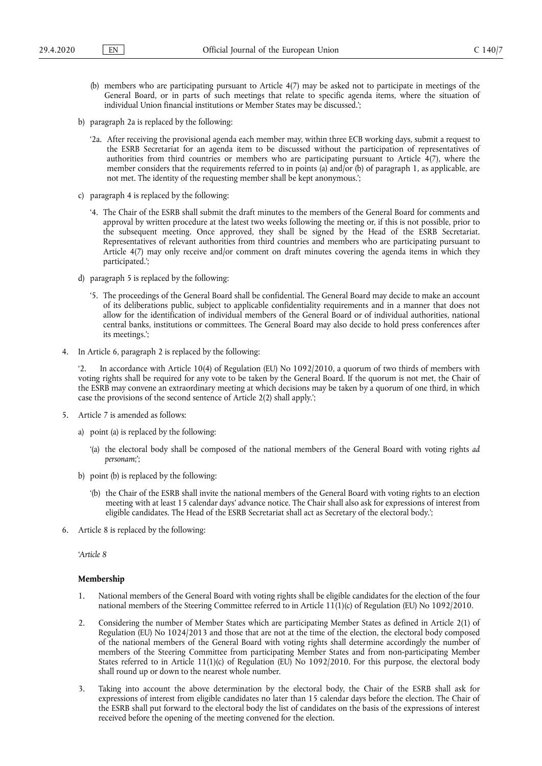- (b) members who are participating pursuant to Article 4(7) may be asked not to participate in meetings of the General Board, or in parts of such meetings that relate to specific agenda items, where the situation of individual Union financial institutions or Member States may be discussed.';
- b) paragraph 2a is replaced by the following:
	- '2a. After receiving the provisional agenda each member may, within three ECB working days, submit a request to the ESRB Secretariat for an agenda item to be discussed without the participation of representatives of authorities from third countries or members who are participating pursuant to Article 4(7), where the member considers that the requirements referred to in points (a) and/or (b) of paragraph 1, as applicable, are not met. The identity of the requesting member shall be kept anonymous.';
- c) paragraph 4 is replaced by the following:
	- '4. The Chair of the ESRB shall submit the draft minutes to the members of the General Board for comments and approval by written procedure at the latest two weeks following the meeting or, if this is not possible, prior to the subsequent meeting. Once approved, they shall be signed by the Head of the ESRB Secretariat. Representatives of relevant authorities from third countries and members who are participating pursuant to Article 4(7) may only receive and/or comment on draft minutes covering the agenda items in which they participated.';
- d) paragraph 5 is replaced by the following:
	- '5. The proceedings of the General Board shall be confidential. The General Board may decide to make an account of its deliberations public, subject to applicable confidentiality requirements and in a manner that does not allow for the identification of individual members of the General Board or of individual authorities, national central banks, institutions or committees. The General Board may also decide to hold press conferences after its meetings.';
- 4. In Article 6, paragraph 2 is replaced by the following:

'2. In accordance with Article 10(4) of Regulation (EU) No 1092/2010, a quorum of two thirds of members with voting rights shall be required for any vote to be taken by the General Board. If the quorum is not met, the Chair of the ESRB may convene an extraordinary meeting at which decisions may be taken by a quorum of one third, in which case the provisions of the second sentence of Article 2(2) shall apply.';

- 5. Article 7 is amended as follows:
	- a) point (a) is replaced by the following:
		- '(a) the electoral body shall be composed of the national members of the General Board with voting rights *ad personam*;';
	- b) point (b) is replaced by the following:
		- '(b) the Chair of the ESRB shall invite the national members of the General Board with voting rights to an election meeting with at least 15 calendar days' advance notice. The Chair shall also ask for expressions of interest from eligible candidates. The Head of the ESRB Secretariat shall act as Secretary of the electoral body.';
- 6. Article 8 is replaced by the following:

*'Article 8* 

### **Membership**

- 1. National members of the General Board with voting rights shall be eligible candidates for the election of the four national members of the Steering Committee referred to in Article 11(1)(c) of Regulation (EU) No 1092/2010.
- 2. Considering the number of Member States which are participating Member States as defined in Article 2(1) of Regulation (EU) No 1024/2013 and those that are not at the time of the election, the electoral body composed of the national members of the General Board with voting rights shall determine accordingly the number of members of the Steering Committee from participating Member States and from non-participating Member States referred to in Article 11(1)(c) of Regulation (EU) No 1092/2010. For this purpose, the electoral body shall round up or down to the nearest whole number.
- 3. Taking into account the above determination by the electoral body, the Chair of the ESRB shall ask for expressions of interest from eligible candidates no later than 15 calendar days before the election. The Chair of the ESRB shall put forward to the electoral body the list of candidates on the basis of the expressions of interest received before the opening of the meeting convened for the election.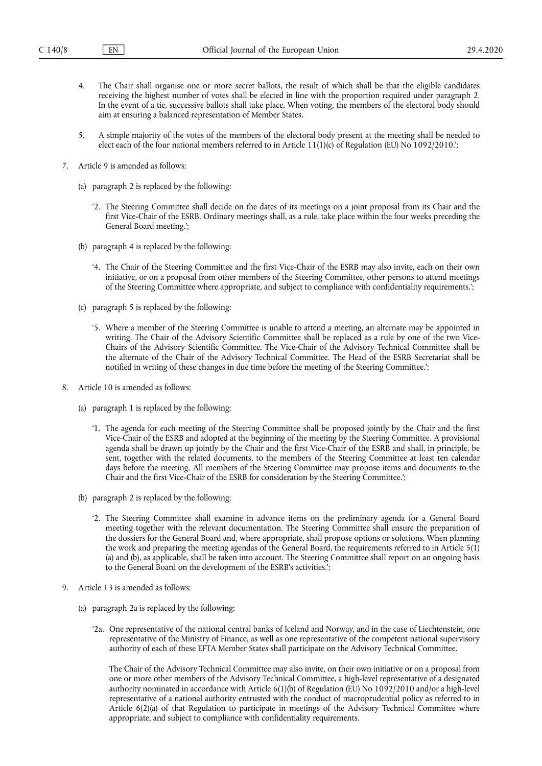- 4. The Chair shall organise one or more secret ballots, the result of which shall be that the eligible candidates receiving the highest number of votes shall be elected in line with the proportion required under paragraph 2. In the event of a tie, successive ballots shall take place. When voting, the members of the electoral body should aim at ensuring a balanced representation of Member States.
- 5. A simple majority of the votes of the members of the electoral body present at the meeting shall be needed to elect each of the four national members referred to in Article 11(1)(c) of Regulation (EU) No 1092/2010.';
- 7. Article 9 is amended as follows:
	- (a) paragraph 2 is replaced by the following:
		- '2. The Steering Committee shall decide on the dates of its meetings on a joint proposal from its Chair and the first Vice-Chair of the ESRB. Ordinary meetings shall, as a rule, take place within the four weeks preceding the General Board meeting.';
	- (b) paragraph 4 is replaced by the following:
		- '4. The Chair of the Steering Committee and the first Vice-Chair of the ESRB may also invite, each on their own initiative, or on a proposal from other members of the Steering Committee, other persons to attend meetings of the Steering Committee where appropriate, and subject to compliance with confidentiality requirements.';
	- (c) paragraph 5 is replaced by the following:
		- '5. Where a member of the Steering Committee is unable to attend a meeting, an alternate may be appointed in writing. The Chair of the Advisory Scientific Committee shall be replaced as a rule by one of the two Vice-Chairs of the Advisory Scientific Committee. The Vice-Chair of the Advisory Technical Committee shall be the alternate of the Chair of the Advisory Technical Committee. The Head of the ESRB Secretariat shall be notified in writing of these changes in due time before the meeting of the Steering Committee.';
- 8. Article 10 is amended as follows:
	- (a) paragraph 1 is replaced by the following:
		- '1. The agenda for each meeting of the Steering Committee shall be proposed jointly by the Chair and the first Vice-Chair of the ESRB and adopted at the beginning of the meeting by the Steering Committee. A provisional agenda shall be drawn up jointly by the Chair and the first Vice-Chair of the ESRB and shall, in principle, be sent, together with the related documents, to the members of the Steering Committee at least ten calendar days before the meeting. All members of the Steering Committee may propose items and documents to the Chair and the first Vice-Chair of the ESRB for consideration by the Steering Committee.';
	- (b) paragraph 2 is replaced by the following:
		- '2. The Steering Committee shall examine in advance items on the preliminary agenda for a General Board meeting together with the relevant documentation. The Steering Committee shall ensure the preparation of the dossiers for the General Board and, where appropriate, shall propose options or solutions. When planning the work and preparing the meeting agendas of the General Board, the requirements referred to in Article 5(1) (a) and (b), as applicable, shall be taken into account. The Steering Committee shall report on an ongoing basis to the General Board on the development of the ESRB's activities.';
- 9. Article 13 is amended as follows:
	- (a) paragraph 2a is replaced by the following:
		- '2a. One representative of the national central banks of Iceland and Norway, and in the case of Liechtenstein, one representative of the Ministry of Finance, as well as one representative of the competent national supervisory authority of each of these EFTA Member States shall participate on the Advisory Technical Committee.

The Chair of the Advisory Technical Committee may also invite, on their own initiative or on a proposal from one or more other members of the Advisory Technical Committee, a high-level representative of a designated authority nominated in accordance with Article 6(1)(b) of Regulation (EU) No 1092/2010 and/or a high-level representative of a national authority entrusted with the conduct of macroprudential policy as referred to in Article 6(2)(a) of that Regulation to participate in meetings of the Advisory Technical Committee where appropriate, and subject to compliance with confidentiality requirements.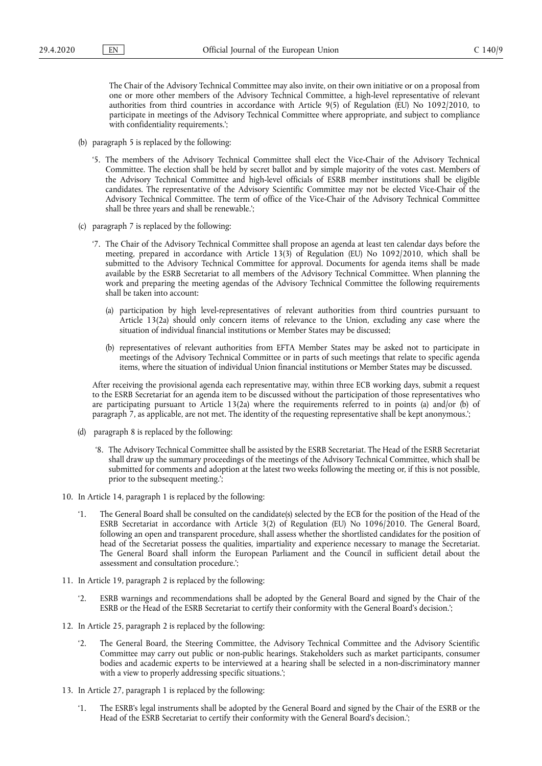The Chair of the Advisory Technical Committee may also invite, on their own initiative or on a proposal from one or more other members of the Advisory Technical Committee, a high-level representative of relevant authorities from third countries in accordance with Article 9(5) of Regulation (EU) No 1092/2010, to participate in meetings of the Advisory Technical Committee where appropriate, and subject to compliance with confidentiality requirements.';

- (b) paragraph 5 is replaced by the following:
	- '5. The members of the Advisory Technical Committee shall elect the Vice-Chair of the Advisory Technical Committee. The election shall be held by secret ballot and by simple majority of the votes cast. Members of the Advisory Technical Committee and high-level officials of ESRB member institutions shall be eligible candidates. The representative of the Advisory Scientific Committee may not be elected Vice-Chair of the Advisory Technical Committee. The term of office of the Vice-Chair of the Advisory Technical Committee shall be three years and shall be renewable.';
- (c) paragraph 7 is replaced by the following:
	- '7. The Chair of the Advisory Technical Committee shall propose an agenda at least ten calendar days before the meeting, prepared in accordance with Article 13(3) of Regulation (EU) No 1092/2010, which shall be submitted to the Advisory Technical Committee for approval. Documents for agenda items shall be made available by the ESRB Secretariat to all members of the Advisory Technical Committee. When planning the work and preparing the meeting agendas of the Advisory Technical Committee the following requirements shall be taken into account:
		- (a) participation by high level-representatives of relevant authorities from third countries pursuant to Article 13(2a) should only concern items of relevance to the Union, excluding any case where the situation of individual financial institutions or Member States may be discussed;
		- (b) representatives of relevant authorities from EFTA Member States may be asked not to participate in meetings of the Advisory Technical Committee or in parts of such meetings that relate to specific agenda items, where the situation of individual Union financial institutions or Member States may be discussed.

After receiving the provisional agenda each representative may, within three ECB working days, submit a request to the ESRB Secretariat for an agenda item to be discussed without the participation of those representatives who are participating pursuant to Article 13(2a) where the requirements referred to in points (a) and/or (b) of paragraph 7, as applicable, are not met. The identity of the requesting representative shall be kept anonymous.';

- (d) paragraph 8 is replaced by the following:
	- '8. The Advisory Technical Committee shall be assisted by the ESRB Secretariat. The Head of the ESRB Secretariat shall draw up the summary proceedings of the meetings of the Advisory Technical Committee, which shall be submitted for comments and adoption at the latest two weeks following the meeting or, if this is not possible, prior to the subsequent meeting.';
- 10. In Article 14, paragraph 1 is replaced by the following:
	- '1. The General Board shall be consulted on the candidate(s) selected by the ECB for the position of the Head of the ESRB Secretariat in accordance with Article 3(2) of Regulation (EU) No 1096/2010. The General Board, following an open and transparent procedure, shall assess whether the shortlisted candidates for the position of head of the Secretariat possess the qualities, impartiality and experience necessary to manage the Secretariat. The General Board shall inform the European Parliament and the Council in sufficient detail about the assessment and consultation procedure.';
- 11. In Article 19, paragraph 2 is replaced by the following:
	- '2. ESRB warnings and recommendations shall be adopted by the General Board and signed by the Chair of the ESRB or the Head of the ESRB Secretariat to certify their conformity with the General Board's decision.';
- 12. In Article 25, paragraph 2 is replaced by the following:
	- '2. The General Board, the Steering Committee, the Advisory Technical Committee and the Advisory Scientific Committee may carry out public or non-public hearings. Stakeholders such as market participants, consumer bodies and academic experts to be interviewed at a hearing shall be selected in a non-discriminatory manner with a view to properly addressing specific situations.';
- 13. In Article 27, paragraph 1 is replaced by the following:
	- '1. The ESRB's legal instruments shall be adopted by the General Board and signed by the Chair of the ESRB or the Head of the ESRB Secretariat to certify their conformity with the General Board's decision.';